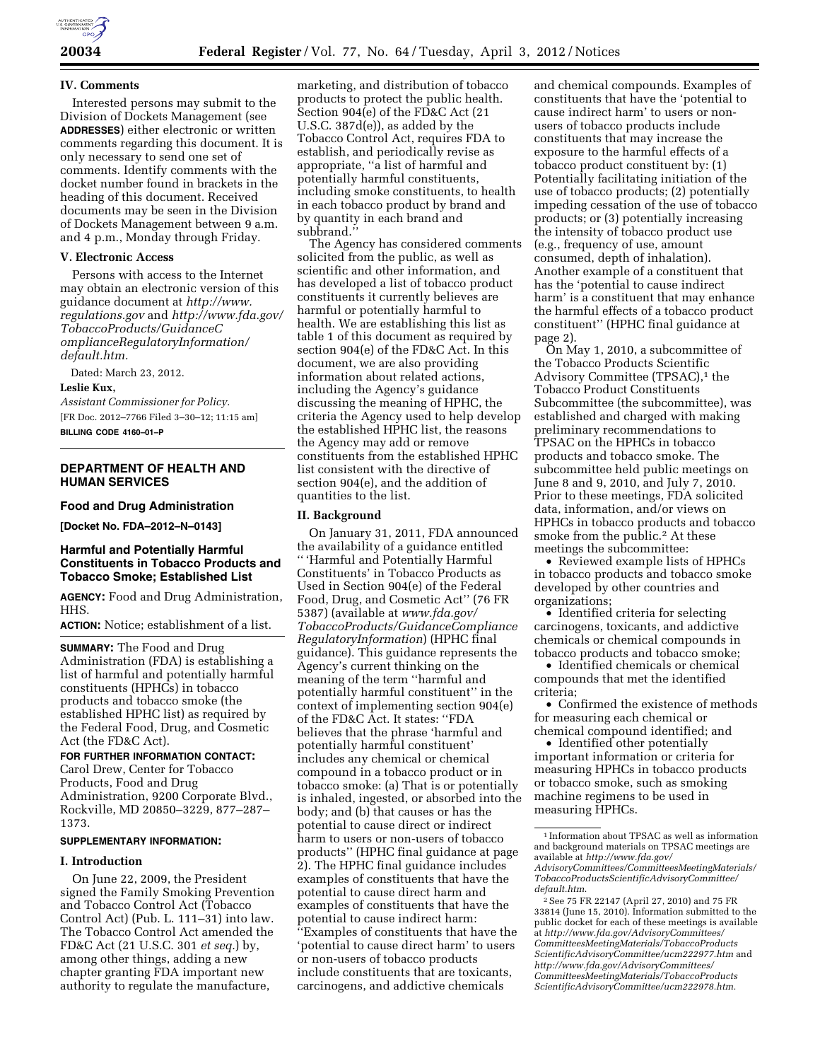

## **IV. Comments**

Interested persons may submit to the Division of Dockets Management (see **ADDRESSES**) either electronic or written comments regarding this document. It is only necessary to send one set of comments. Identify comments with the docket number found in brackets in the heading of this document. Received documents may be seen in the Division of Dockets Management between 9 a.m. and 4 p.m., Monday through Friday.

## **V. Electronic Access**

Persons with access to the Internet may obtain an electronic version of this guidance document at *[http://www.](http://www.regulations.gov) [regulations.gov](http://www.regulations.gov)* and *[http://www.fda.gov/](http://www.fda.gov/TobaccoProducts/GuidanceComplianceRegulatoryInformation/default.htm) [TobaccoProducts/GuidanceC](http://www.fda.gov/TobaccoProducts/GuidanceComplianceRegulatoryInformation/default.htm) [omplianceRegulatoryInformation/](http://www.fda.gov/TobaccoProducts/GuidanceComplianceRegulatoryInformation/default.htm) [default.htm.](http://www.fda.gov/TobaccoProducts/GuidanceComplianceRegulatoryInformation/default.htm)* 

Dated: March 23, 2012.

**Leslie Kux,** 

*Assistant Commissioner for Policy.*  [FR Doc. 2012–7766 Filed 3–30–12; 11:15 am] **BILLING CODE 4160–01–P** 

### **DEPARTMENT OF HEALTH AND HUMAN SERVICES**

## **Food and Drug Administration**

**[Docket No. FDA–2012–N–0143]** 

# **Harmful and Potentially Harmful Constituents in Tobacco Products and Tobacco Smoke; Established List**

**AGENCY:** Food and Drug Administration, HHS.

**ACTION:** Notice; establishment of a list.

**SUMMARY:** The Food and Drug Administration (FDA) is establishing a list of harmful and potentially harmful constituents (HPHCs) in tobacco products and tobacco smoke (the established HPHC list) as required by the Federal Food, Drug, and Cosmetic Act (the FD&C Act).

**FOR FURTHER INFORMATION CONTACT:**  Carol Drew, Center for Tobacco Products, Food and Drug Administration, 9200 Corporate Blvd., Rockville, MD 20850–3229, 877–287– 1373.

#### **SUPPLEMENTARY INFORMATION:**

#### **I. Introduction**

On June 22, 2009, the President signed the Family Smoking Prevention and Tobacco Control Act (Tobacco Control Act) (Pub. L. 111–31) into law. The Tobacco Control Act amended the FD&C Act (21 U.S.C. 301 *et seq.*) by, among other things, adding a new chapter granting FDA important new authority to regulate the manufacture,

marketing, and distribution of tobacco products to protect the public health. Section 904(e) of the FD&C Act (21 U.S.C. 387d(e)), as added by the Tobacco Control Act, requires FDA to establish, and periodically revise as appropriate, ''a list of harmful and potentially harmful constituents, including smoke constituents, to health in each tobacco product by brand and by quantity in each brand and subbrand."

The Agency has considered comments solicited from the public, as well as scientific and other information, and has developed a list of tobacco product constituents it currently believes are harmful or potentially harmful to health. We are establishing this list as table 1 of this document as required by section 904(e) of the FD&C Act. In this document, we are also providing information about related actions, including the Agency's guidance discussing the meaning of HPHC, the criteria the Agency used to help develop the established HPHC list, the reasons the Agency may add or remove constituents from the established HPHC list consistent with the directive of section 904(e), and the addition of quantities to the list.

## **II. Background**

On January 31, 2011, FDA announced the availability of a guidance entitled '' 'Harmful and Potentially Harmful Constituents' in Tobacco Products as Used in Section 904(e) of the Federal Food, Drug, and Cosmetic Act'' (76 FR 5387) (available at *[www.fda.gov/](http://www.fda.gov/TobaccoProducts/GuidanceComplianceRegulatoryInformation) [TobaccoProducts/GuidanceCompliance](http://www.fda.gov/TobaccoProducts/GuidanceComplianceRegulatoryInformation) [RegulatoryInformation](http://www.fda.gov/TobaccoProducts/GuidanceComplianceRegulatoryInformation)*) (HPHC final guidance). This guidance represents the Agency's current thinking on the meaning of the term ''harmful and potentially harmful constituent'' in the context of implementing section 904(e) of the FD&C Act. It states: ''FDA believes that the phrase 'harmful and potentially harmful constituent' includes any chemical or chemical compound in a tobacco product or in tobacco smoke: (a) That is or potentially is inhaled, ingested, or absorbed into the body; and (b) that causes or has the potential to cause direct or indirect harm to users or non-users of tobacco products'' (HPHC final guidance at page 2). The HPHC final guidance includes examples of constituents that have the potential to cause direct harm and examples of constituents that have the potential to cause indirect harm: ''Examples of constituents that have the 'potential to cause direct harm' to users or non-users of tobacco products include constituents that are toxicants, carcinogens, and addictive chemicals

and chemical compounds. Examples of constituents that have the 'potential to cause indirect harm' to users or nonusers of tobacco products include constituents that may increase the exposure to the harmful effects of a tobacco product constituent by: (1) Potentially facilitating initiation of the use of tobacco products; (2) potentially impeding cessation of the use of tobacco products; or (3) potentially increasing the intensity of tobacco product use (e.g., frequency of use, amount consumed, depth of inhalation). Another example of a constituent that has the 'potential to cause indirect harm' is a constituent that may enhance the harmful effects of a tobacco product constituent'' (HPHC final guidance at page 2).

On May 1, 2010, a subcommittee of the Tobacco Products Scientific Advisory Committee (TPSAC),<sup>1</sup> the Tobacco Product Constituents Subcommittee (the subcommittee), was established and charged with making preliminary recommendations to TPSAC on the HPHCs in tobacco products and tobacco smoke. The subcommittee held public meetings on June 8 and 9, 2010, and July 7, 2010. Prior to these meetings, FDA solicited data, information, and/or views on HPHCs in tobacco products and tobacco smoke from the public.<sup>2</sup> At these meetings the subcommittee:

• Reviewed example lists of HPHCs in tobacco products and tobacco smoke developed by other countries and organizations;

• Identified criteria for selecting carcinogens, toxicants, and addictive chemicals or chemical compounds in tobacco products and tobacco smoke;

• Identified chemicals or chemical compounds that met the identified criteria;

• Confirmed the existence of methods for measuring each chemical or chemical compound identified; and

• Identified other potentially important information or criteria for measuring HPHCs in tobacco products or tobacco smoke, such as smoking machine regimens to be used in measuring HPHCs.

<sup>1</sup> Information about TPSAC as well as information and background materials on TPSAC meetings are available at *[http://www.fda.gov/](http://www.fda.gov/AdvisoryCommittees/CommitteesMeetingMaterials/TobaccoProductsScientificAdvisoryCommittee/default.htm) [AdvisoryCommittees/CommitteesMeetingMaterials/](http://www.fda.gov/AdvisoryCommittees/CommitteesMeetingMaterials/TobaccoProductsScientificAdvisoryCommittee/default.htm)  [TobaccoProductsScientificAdvisoryCommittee/](http://www.fda.gov/AdvisoryCommittees/CommitteesMeetingMaterials/TobaccoProductsScientificAdvisoryCommittee/default.htm) [default.htm](http://www.fda.gov/AdvisoryCommittees/CommitteesMeetingMaterials/TobaccoProductsScientificAdvisoryCommittee/default.htm)*.

<sup>2</sup>See 75 FR 22147 (April 27, 2010) and 75 FR 33814 (June 15, 2010). Information submitted to the public docket for each of these meetings is available at *[http://www.fda.gov/AdvisoryCommittees/](http://www.fda.gov/AdvisoryCommittees/CommitteesMeetingMaterials/TobaccoProductsScientificAdvisoryCommittee/ucm222977.htm)  [CommitteesMeetingMaterials/TobaccoProducts](http://www.fda.gov/AdvisoryCommittees/CommitteesMeetingMaterials/TobaccoProductsScientificAdvisoryCommittee/ucm222977.htm) [ScientificAdvisoryCommittee/ucm222977.htm](http://www.fda.gov/AdvisoryCommittees/CommitteesMeetingMaterials/TobaccoProductsScientificAdvisoryCommittee/ucm222977.htm)* and *[http://www.fda.gov/AdvisoryCommittees/](http://www.fda.gov/AdvisoryCommittees/CommitteesMeetingMaterials/TobaccoProductsScientificAdvisoryCommittee/ucm222978.htm) [CommitteesMeetingMaterials/TobaccoProducts](http://www.fda.gov/AdvisoryCommittees/CommitteesMeetingMaterials/TobaccoProductsScientificAdvisoryCommittee/ucm222978.htm) [ScientificAdvisoryCommittee/ucm222978.htm.](http://www.fda.gov/AdvisoryCommittees/CommitteesMeetingMaterials/TobaccoProductsScientificAdvisoryCommittee/ucm222978.htm)*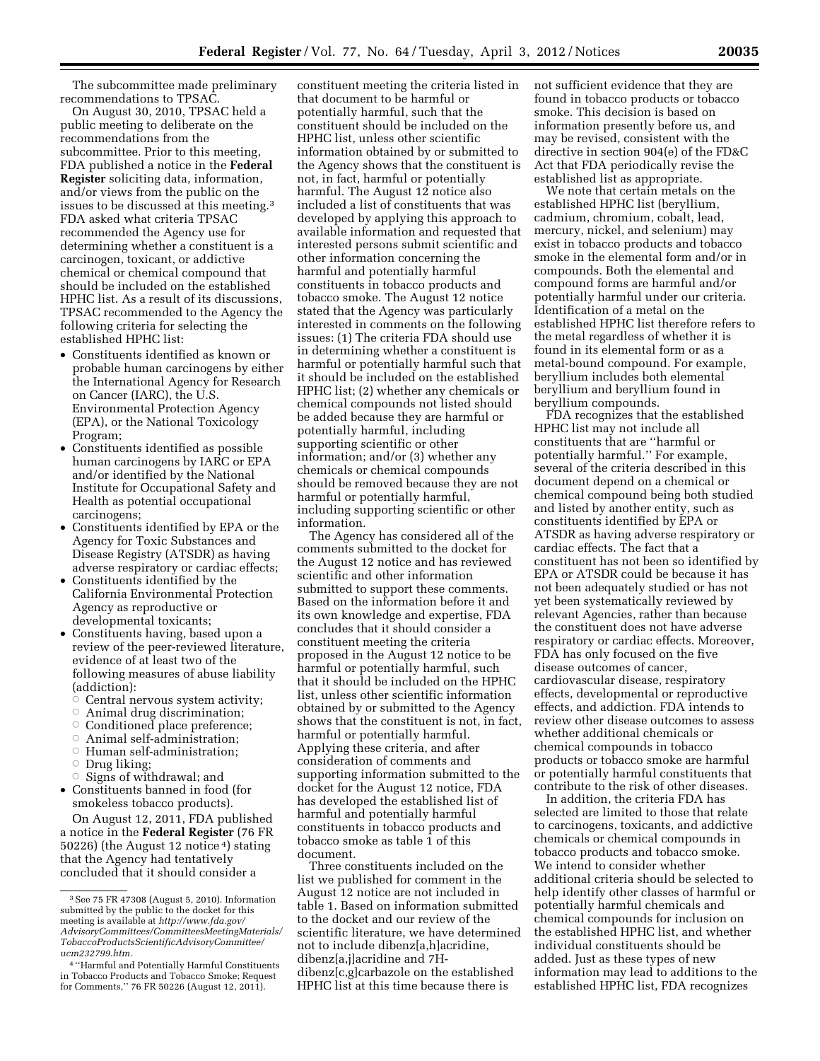The subcommittee made preliminary recommendations to TPSAC.

On August 30, 2010, TPSAC held a public meeting to deliberate on the recommendations from the subcommittee. Prior to this meeting, FDA published a notice in the **Federal Register** soliciting data, information, and/or views from the public on the issues to be discussed at this meeting.3 FDA asked what criteria TPSAC recommended the Agency use for determining whether a constituent is a carcinogen, toxicant, or addictive chemical or chemical compound that should be included on the established HPHC list. As a result of its discussions, TPSAC recommended to the Agency the following criteria for selecting the established HPHC list:

- Constituents identified as known or probable human carcinogens by either the International Agency for Research on Cancer (IARC), the U.S. Environmental Protection Agency (EPA), or the National Toxicology Program;
- Constituents identified as possible human carcinogens by IARC or EPA and/or identified by the National Institute for Occupational Safety and Health as potential occupational carcinogens;
- Constituents identified by EPA or the Agency for Toxic Substances and Disease Registry (ATSDR) as having adverse respiratory or cardiac effects;
- Constituents identified by the California Environmental Protection Agency as reproductive or developmental toxicants;
- Constituents having, based upon a review of the peer-reviewed literature, evidence of at least two of the following measures of abuse liability (addiction):
	- $\circ$  Central nervous system activity;
	- $\circ$  Animal drug discrimination;
	- $\circ$  Conditioned place preference;
	- Æ Animal self-administration;
	- $\bigcap$ Human self-administration;
	- ÆDrug liking;
	- $\circ$ Signs of withdrawal; and
- Constituents banned in food (for smokeless tobacco products).

On August 12, 2011, FDA published a notice in the **Federal Register** (76 FR 50226) (the August 12 notice 4) stating that the Agency had tentatively concluded that it should consider a

constituent meeting the criteria listed in that document to be harmful or potentially harmful, such that the constituent should be included on the HPHC list, unless other scientific information obtained by or submitted to the Agency shows that the constituent is not, in fact, harmful or potentially harmful. The August 12 notice also included a list of constituents that was developed by applying this approach to available information and requested that interested persons submit scientific and other information concerning the harmful and potentially harmful constituents in tobacco products and tobacco smoke. The August 12 notice stated that the Agency was particularly interested in comments on the following issues: (1) The criteria FDA should use in determining whether a constituent is harmful or potentially harmful such that it should be included on the established HPHC list; (2) whether any chemicals or chemical compounds not listed should be added because they are harmful or potentially harmful, including supporting scientific or other information; and/or (3) whether any chemicals or chemical compounds should be removed because they are not harmful or potentially harmful, including supporting scientific or other information.

The Agency has considered all of the comments submitted to the docket for the August 12 notice and has reviewed scientific and other information submitted to support these comments. Based on the information before it and its own knowledge and expertise, FDA concludes that it should consider a constituent meeting the criteria proposed in the August 12 notice to be harmful or potentially harmful, such that it should be included on the HPHC list, unless other scientific information obtained by or submitted to the Agency shows that the constituent is not, in fact, harmful or potentially harmful. Applying these criteria, and after consideration of comments and supporting information submitted to the docket for the August 12 notice, FDA has developed the established list of harmful and potentially harmful constituents in tobacco products and tobacco smoke as table 1 of this document.

Three constituents included on the list we published for comment in the August 12 notice are not included in table 1. Based on information submitted to the docket and our review of the scientific literature, we have determined not to include dibenz[a,h]acridine, dibenz[a,j]acridine and 7Hdibenz[c,g]carbazole on the established HPHC list at this time because there is

not sufficient evidence that they are found in tobacco products or tobacco smoke. This decision is based on information presently before us, and may be revised, consistent with the directive in section 904(e) of the FD&C Act that FDA periodically revise the established list as appropriate.

We note that certain metals on the established HPHC list (beryllium, cadmium, chromium, cobalt, lead, mercury, nickel, and selenium) may exist in tobacco products and tobacco smoke in the elemental form and/or in compounds. Both the elemental and compound forms are harmful and/or potentially harmful under our criteria. Identification of a metal on the established HPHC list therefore refers to the metal regardless of whether it is found in its elemental form or as a metal-bound compound. For example, beryllium includes both elemental beryllium and beryllium found in beryllium compounds.

FDA recognizes that the established HPHC list may not include all constituents that are ''harmful or potentially harmful.'' For example, several of the criteria described in this document depend on a chemical or chemical compound being both studied and listed by another entity, such as constituents identified by EPA or ATSDR as having adverse respiratory or cardiac effects. The fact that a constituent has not been so identified by EPA or ATSDR could be because it has not been adequately studied or has not yet been systematically reviewed by relevant Agencies, rather than because the constituent does not have adverse respiratory or cardiac effects. Moreover, FDA has only focused on the five disease outcomes of cancer, cardiovascular disease, respiratory effects, developmental or reproductive effects, and addiction. FDA intends to review other disease outcomes to assess whether additional chemicals or chemical compounds in tobacco products or tobacco smoke are harmful or potentially harmful constituents that contribute to the risk of other diseases.

In addition, the criteria FDA has selected are limited to those that relate to carcinogens, toxicants, and addictive chemicals or chemical compounds in tobacco products and tobacco smoke. We intend to consider whether additional criteria should be selected to help identify other classes of harmful or potentially harmful chemicals and chemical compounds for inclusion on the established HPHC list, and whether individual constituents should be added. Just as these types of new information may lead to additions to the established HPHC list, FDA recognizes

<sup>3</sup>See 75 FR 47308 (August 5, 2010). Information submitted by the public to the docket for this meeting is available at *[http://www.fda.gov/](http://www.fda.gov/AdvisoryCommittees/CommitteesMeetingMaterials/TobaccoProductsScientificAdvisoryCommittee/ucm232799.htm) [AdvisoryCommittees/CommitteesMeetingMaterials/](http://www.fda.gov/AdvisoryCommittees/CommitteesMeetingMaterials/TobaccoProductsScientificAdvisoryCommittee/ucm232799.htm)  [TobaccoProductsScientificAdvisoryCommittee/](http://www.fda.gov/AdvisoryCommittees/CommitteesMeetingMaterials/TobaccoProductsScientificAdvisoryCommittee/ucm232799.htm) [ucm232799.htm.](http://www.fda.gov/AdvisoryCommittees/CommitteesMeetingMaterials/TobaccoProductsScientificAdvisoryCommittee/ucm232799.htm)* 

<sup>4</sup> ''Harmful and Potentially Harmful Constituents in Tobacco Products and Tobacco Smoke; Request for Comments,'' 76 FR 50226 (August 12, 2011).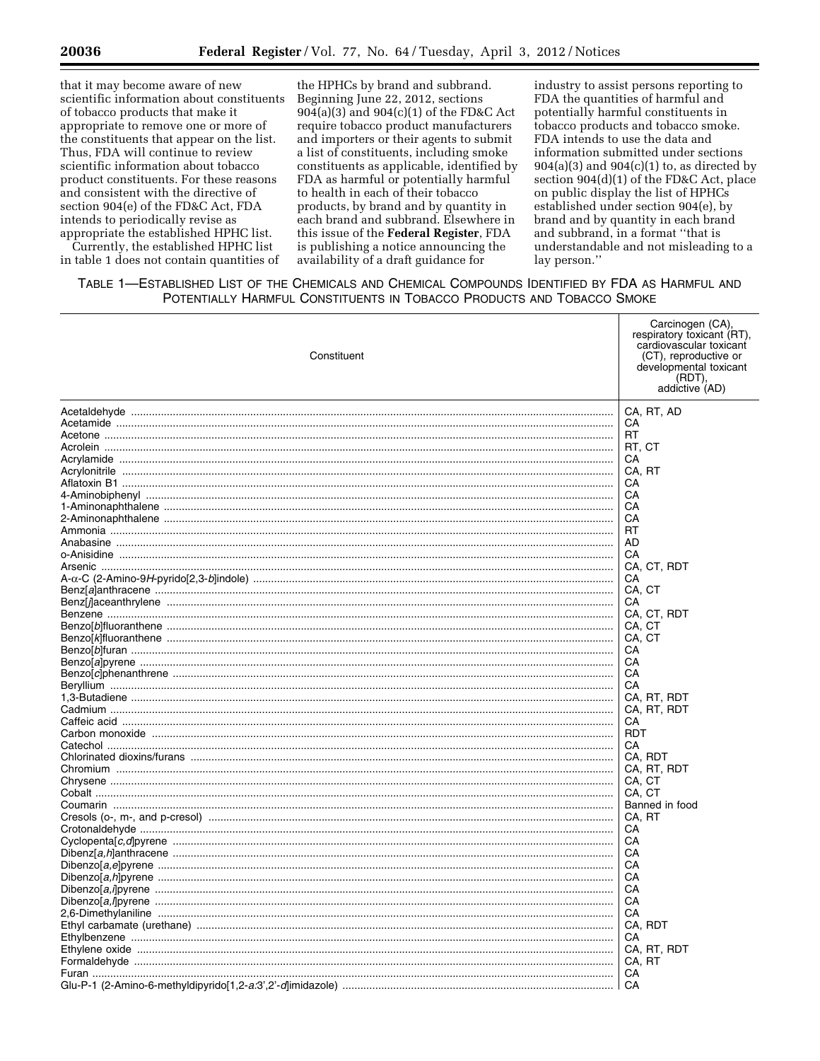that it may become aware of new scientific information about constituents of tobacco products that make it appropriate to remove one or more of the constituents that appear on the list. Thus, FDA will continue to review scientific information about tobacco product constituents. For these reasons and consistent with the directive of section 904(e) of the FD&C Act, FDA intends to periodically revise as appropriate the established HPHC list.

Currently, the established HPHC list in table 1 does not contain quantities of

the HPHCs by brand and subbrand. Beginning June 22, 2012, sections  $904(a)(3)$  and  $904(c)(1)$  of the FD&C Act require tobacco product manufacturers and importers or their agents to submit a list of constituents, including smoke constituents as applicable, identified by FDA as harmful or potentially harmful to health in each of their tobacco products, by brand and by quantity in each brand and subbrand. Elsewhere in this issue of the **Federal Register**, FDA is publishing a notice announcing the availability of a draft guidance for

industry to assist persons reporting to FDA the quantities of harmful and potentially harmful constituents in tobacco products and tobacco smoke. FDA intends to use the data and information submitted under sections  $904(a)(3)$  and  $904(c)(1)$  to, as directed by section  $904(d)(1)$  of the FD&C Act, place on public display the list of HPHCs established under section 904(e), by brand and by quantity in each brand and subbrand, in a format "that is understandable and not misleading to a lay person."

# TABLE 1—ESTABLISHED LIST OF THE CHEMICALS AND CHEMICAL COMPOUNDS IDENTIFIED BY FDA AS HARMFUL AND POTENTIALLY HARMFUL CONSTITUENTS IN TOBACCO PRODUCTS AND TOBACCO SMOKE

| Constituent | Carcinogen (CA),<br>respiratory toxicant (RT)<br>cardiovascular toxicant<br>(CT), reproductive or<br>developmental toxicant<br>(RDT),<br>addictive (AD) |
|-------------|---------------------------------------------------------------------------------------------------------------------------------------------------------|
|             | CA, RT, AD                                                                                                                                              |
|             | CА                                                                                                                                                      |
|             | RT                                                                                                                                                      |
|             | RT, CT                                                                                                                                                  |
|             | CА                                                                                                                                                      |
|             | CA, RT                                                                                                                                                  |
|             | CA                                                                                                                                                      |
|             | CА                                                                                                                                                      |
|             | СA                                                                                                                                                      |
|             | CA                                                                                                                                                      |
|             | RT                                                                                                                                                      |
|             | AD                                                                                                                                                      |
|             | CА                                                                                                                                                      |
|             | CA, CT, RDT                                                                                                                                             |
|             | CА                                                                                                                                                      |
|             | CA, CT                                                                                                                                                  |
|             | CА                                                                                                                                                      |
|             | CA, CT, RDT                                                                                                                                             |
|             | CA, CT                                                                                                                                                  |
|             | CA, CT                                                                                                                                                  |
|             | CА                                                                                                                                                      |
|             | СA                                                                                                                                                      |
|             | CA                                                                                                                                                      |
|             | CА                                                                                                                                                      |
|             | CA, RT, RDT                                                                                                                                             |
|             | CA, RT, RDT                                                                                                                                             |
|             | CA                                                                                                                                                      |
|             | RDT                                                                                                                                                     |
|             | CA                                                                                                                                                      |
|             | CA, RDT                                                                                                                                                 |
|             | CA, RT, RDT                                                                                                                                             |
|             | CA, CT                                                                                                                                                  |
|             | CA, CT                                                                                                                                                  |
|             | Banned in food                                                                                                                                          |
|             | CA, RT                                                                                                                                                  |
|             | CA                                                                                                                                                      |
|             | CА                                                                                                                                                      |
|             | СA                                                                                                                                                      |
|             | CA                                                                                                                                                      |
|             | CA                                                                                                                                                      |
|             | CА                                                                                                                                                      |
|             | CA                                                                                                                                                      |
|             | CA                                                                                                                                                      |
|             | CA, RDT                                                                                                                                                 |
|             | СA                                                                                                                                                      |
|             | CA, RT, RDT                                                                                                                                             |
|             | CA, RT                                                                                                                                                  |
|             | CA                                                                                                                                                      |
|             | CA                                                                                                                                                      |
|             |                                                                                                                                                         |